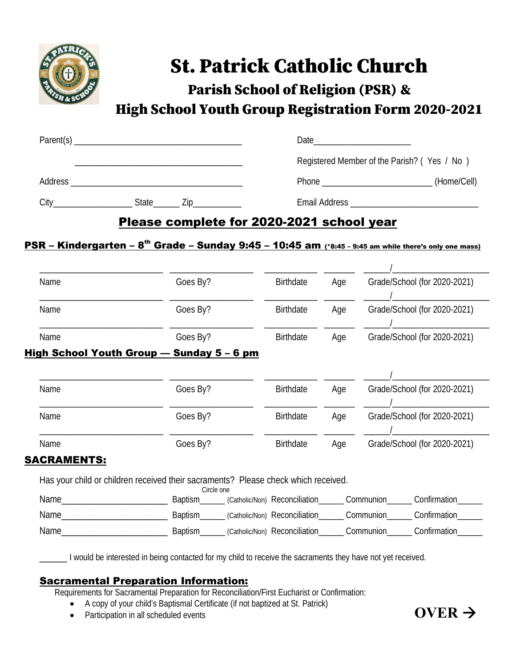

## St. Patrick Catholic Church

Parish School of Religion (PSR) &

High School Youth Group Registration Form 2020-2021

| Parent(s) |       |     | Date                                        |             |
|-----------|-------|-----|---------------------------------------------|-------------|
|           |       |     | Registered Member of the Parish? (Yes / No) |             |
| Address   |       |     | Phone                                       | (Home/Cell) |
| City      | State | Zip | <b>Email Address</b>                        |             |

## Please complete for 2020-2021 school year

## PSR - Kindergarten - 8<sup>th</sup> Grade - Sunday 9:45 - 10:45 am (\*8:45 - 9:45 am while there's only one mass)

| Name        | Goes By?                                                                                         | <b>Birthdate</b>              | Age |           | Grade/School (for 2020-2021) |
|-------------|--------------------------------------------------------------------------------------------------|-------------------------------|-----|-----------|------------------------------|
| Name        | Goes By?                                                                                         | <b>Birthdate</b>              | Age |           | Grade/School (for 2020-2021) |
| Name        | Goes By?                                                                                         | <b>Birthdate</b>              | Age |           | Grade/School (for 2020-2021) |
|             | High School Youth Group — Sunday 5 – 6 pm                                                        |                               |     |           |                              |
|             |                                                                                                  |                               |     |           |                              |
| Name        | Goes By?                                                                                         | <b>Birthdate</b>              | Age |           | Grade/School (for 2020-2021) |
|             |                                                                                                  |                               |     |           |                              |
| Name        | Goes By?                                                                                         | <b>Birthdate</b>              | Age |           | Grade/School (for 2020-2021) |
| Name        | Goes By?                                                                                         | <b>Birthdate</b>              | Age |           | Grade/School (for 2020-2021) |
| SACRAMENTS: |                                                                                                  |                               |     |           |                              |
|             | Has your child or children received their sacraments? Please check which received.<br>Circle one |                               |     |           |                              |
| Name        | <b>Baptism</b>                                                                                   | (Catholic/Non) Reconciliation |     | Communion | Confirmation                 |
| Name        | Baptism                                                                                          | (Catholic/Non) Reconciliation |     | Communion | Confirmation                 |
| Name        | <b>Baptism</b>                                                                                   | (Catholic/Non) Reconciliation |     | Communion | Confirmation                 |

I would be interested in being contacted for my child to receive the sacraments they have not yet received.

## Sacramental Preparation Information:

Requirements for Sacramental Preparation for Reconciliation/First Eucharist or Confirmation:

- A copy of your child's Baptismal Certificate (if not baptized at St. Patrick)
- Participation in all scheduled events  $\overline{\text{OVER}}$